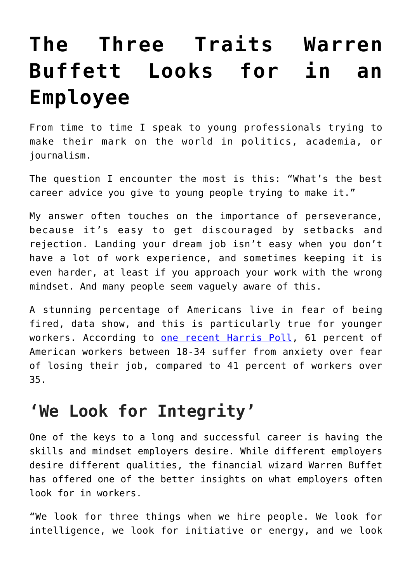## **[The Three Traits Warren](https://intellectualtakeout.org/2022/03/the-three-traits-warren-buffett-looks-for-in-an-employee/) [Buffett Looks for in an](https://intellectualtakeout.org/2022/03/the-three-traits-warren-buffett-looks-for-in-an-employee/) [Employee](https://intellectualtakeout.org/2022/03/the-three-traits-warren-buffett-looks-for-in-an-employee/)**

From time to time I speak to young professionals trying to make their mark on the world in politics, academia, or journalism.

The question I encounter the most is this: "What's the best career advice you give to young people trying to make it."

My answer often touches on the importance of perseverance, because it's easy to get discouraged by setbacks and rejection. Landing your dream job isn't easy when you don't have a lot of work experience, and sometimes keeping it is even harder, at least if you approach your work with the wrong mindset. And many people seem vaguely aware of this.

A stunning percentage of Americans live in fear of being fired, data show, and this is particularly true for younger workers. According to [one recent Harris Poll,](https://resources.intoo.com/outplacement/layoff-anxiety-study?x=yKGUME) 61 percent of American workers between 18-34 suffer from anxiety over fear of losing their job, compared to 41 percent of workers over 35.

## **'We Look for Integrity'**

One of the keys to a long and successful career is having the skills and mindset employers desire. While different employers desire different qualities, the financial wizard Warren Buffet has offered one of the better insights on what employers often look for in workers.

"We look for three things when we hire people. We look for intelligence, we look for initiative or energy, and we look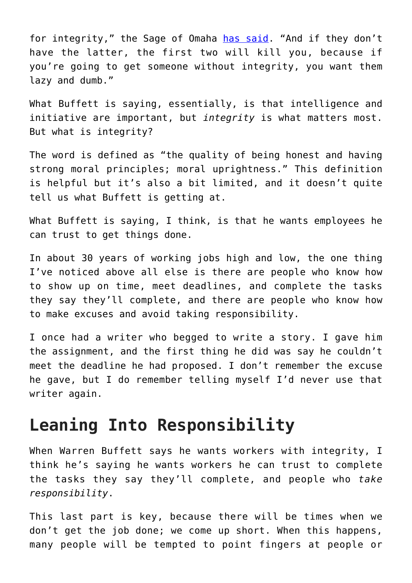for integrity," the Sage of Omaha [has said](https://www.inc.com/marcel-schwantes/1-trait-to-instantly-spot-a-great-employee-says-warren-buffett.html#:~:text=He%20is%20quoted%20everywhere%20with,and%20we%20look%20for%20integrity). "And if they don't have the latter, the first two will kill you, because if you're going to get someone without integrity, you want them lazy and dumb."

What Buffett is saying, essentially, is that intelligence and initiative are important, but *integrity* is what matters most. But what is integrity?

The word is defined as "the quality of being honest and having strong moral principles; moral uprightness." This definition is helpful but it's also a bit limited, and it doesn't quite tell us what Buffett is getting at.

What Buffett is saying, I think, is that he wants employees he can trust to get things done.

In about 30 years of working jobs high and low, the one thing I've noticed above all else is there are people who know how to show up on time, meet deadlines, and complete the tasks they say they'll complete, and there are people who know how to make excuses and avoid taking responsibility.

I once had a writer who begged to write a story. I gave him the assignment, and the first thing he did was say he couldn't meet the deadline he had proposed. I don't remember the excuse he gave, but I do remember telling myself I'd never use that writer again.

## **Leaning Into Responsibility**

When Warren Buffett says he wants workers with integrity, I think he's saying he wants workers he can trust to complete the tasks they say they'll complete, and people who *take responsibility*.

This last part is key, because there will be times when we don't get the job done; we come up short. When this happens, many people will be tempted to point fingers at people or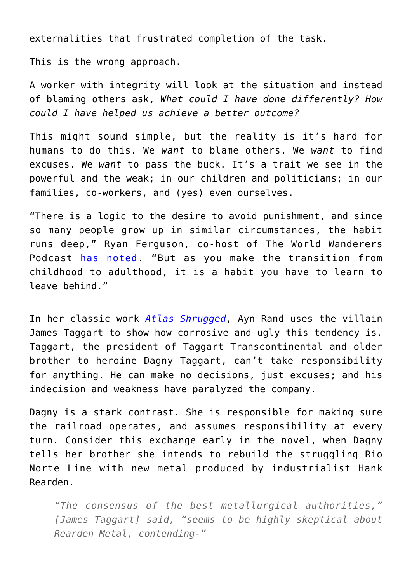externalities that frustrated completion of the task.

This is the wrong approach.

A worker with integrity will look at the situation and instead of blaming others ask, *What could I have done differently? How could I have helped us achieve a better outcome?*

This might sound simple, but the reality is it's hard for humans to do this. We *want* to blame others. We *want* to find excuses. We *want* to pass the buck. It's a trait we see in the powerful and the weak; in our children and politicians; in our families, co-workers, and (yes) even ourselves.

"There is a logic to the desire to avoid punishment, and since so many people grow up in similar circumstances, the habit runs deep," Ryan Ferguson, co-host of The World Wanderers Podcast [has noted.](https://fee.org/success-center/goals/personal-development/why-taking-responsibility-for-your-actions-is-essential-for-growth/) "But as you make the transition from childhood to adulthood, it is a habit you have to learn to leave behind."

In her classic work *[Atlas Shrugged](https://amzn.to/3vZGoTq)*, Ayn Rand uses the villain James Taggart to show how corrosive and ugly this tendency is. Taggart, the president of Taggart Transcontinental and older brother to heroine Dagny Taggart, can't take responsibility for anything. He can make no decisions, just excuses; and his indecision and weakness have paralyzed the company.

Dagny is a stark contrast. She is responsible for making sure the railroad operates, and assumes responsibility at every turn. Consider this exchange early in the novel, when Dagny tells her brother she intends to rebuild the struggling Rio Norte Line with new metal produced by industrialist Hank Rearden.

*"The consensus of the best metallurgical authorities," [James Taggart] said, "seems to be highly skeptical about Rearden Metal, contending-"*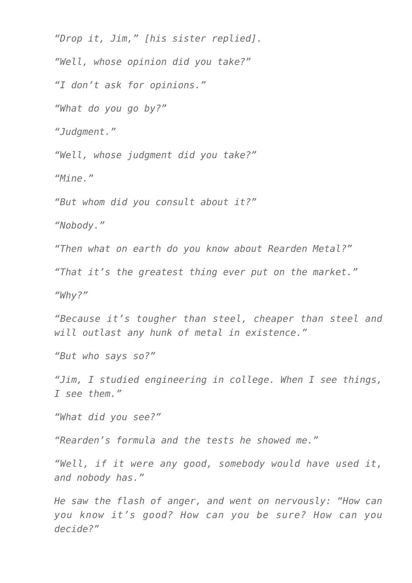*"Drop it, Jim," [his sister replied].*

*"Well, whose opinion did you take?"*

*"I don't ask for opinions."*

*"What do you go by?"*

*"Judgment."*

*"Well, whose judgment did you take?"*

*"Mine."*

*"But whom did you consult about it?"*

*"Nobody."*

*"Then what on earth do you know about Rearden Metal?"*

*"That it's the greatest thing ever put on the market."*

*"Why?"*

*"Because it's tougher than steel, cheaper than steel and will outlast any hunk of metal in existence."*

*"But who says so?"*

*"Jim, I studied engineering in college. When I see things, I see them."*

*"What did you see?"*

*"Rearden's formula and the tests he showed me."*

*"Well, if it were any good, somebody would have used it, and nobody has."*

*He saw the flash of anger, and went on nervously: "How can you know it's good? How can you be sure? How can you decide?"*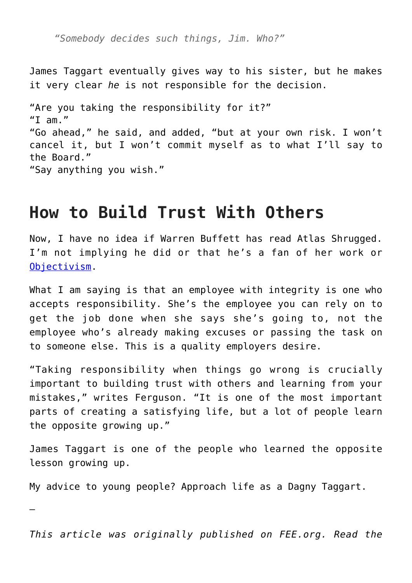*"Somebody decides such things, Jim. Who?"*

James Taggart eventually gives way to his sister, but he makes it very clear *he* is not responsible for the decision.

"Are you taking the responsibility for it?" "I am." "Go ahead," he said, and added, "but at your own risk. I won't cancel it, but I won't commit myself as to what I'll say to the Board." "Say anything you wish."

## **How to Build Trust With Others**

Now, I have no idea if Warren Buffett has read Atlas Shrugged. I'm not implying he did or that he's a fan of her work or [Objectivism.](https://theobjectivestandard.com/what-is-objectivism/#:~:text=In%20sum%2C%20the%20key%20principles,is%20crucial%20to%20good%20living.)

What I am saying is that an employee with integrity is one who accepts responsibility. She's the employee you can rely on to get the job done when she says she's going to, not the employee who's already making excuses or passing the task on to someone else. This is a quality employers desire.

"Taking responsibility when things go wrong is crucially important to building trust with others and learning from your mistakes," writes Ferguson. "It is one of the most important parts of creating a satisfying life, but a lot of people learn the opposite growing up."

James Taggart is one of the people who learned the opposite lesson growing up.

My advice to young people? Approach life as a Dagny Taggart.

—

*This article was originally published on FEE.org. Read the*